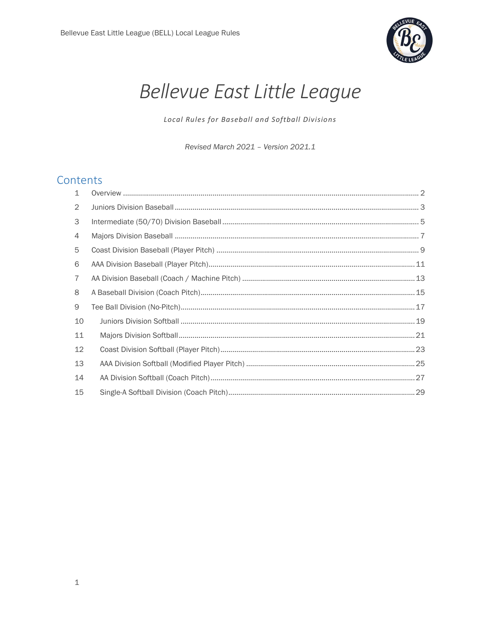

# Bellevue East Little League

Local Rules for Baseball and Softball Divisions

Revised March 2021 - Version 2021.1

## Contents

| $\mathbf{1}$ |  |
|--------------|--|
| 2            |  |
| 3            |  |
| 4            |  |
| 5            |  |
| 6            |  |
| 7            |  |
| 8            |  |
| 9            |  |
| 10           |  |
| 11           |  |
| 12           |  |
| 13           |  |
| 14           |  |
| 15           |  |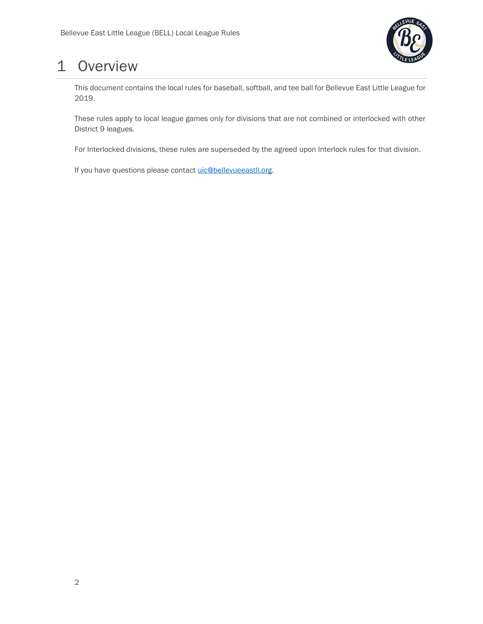

## 1 Overview

This document contains the local rules for baseball, softball, and tee ball for Bellevue East Little League for 2019.

These rules apply to local league games only for divisions that are not combined or interlocked with other District 9 leagues.

For Interlocked divisions, these rules are superseded by the agreed upon Interlock rules for that division.

If you have questions please contact uic@bellevueeastll.org.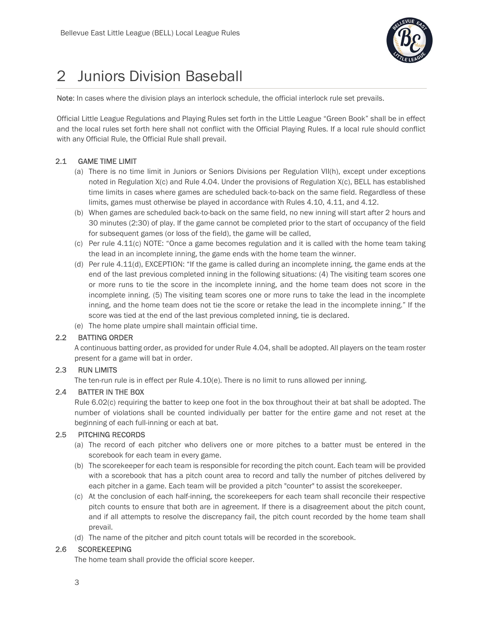

## 2 Juniors Division Baseball

Note: In cases where the division plays an interlock schedule, the official interlock rule set prevails.

Official Little League Regulations and Playing Rules set forth in the Little League "Green Book" shall be in effect and the local rules set forth here shall not conflict with the Official Playing Rules. If a local rule should conflict with any Official Rule, the Official Rule shall prevail.

## 2.1 GAME TIME LIMIT

- (a) There is no time limit in Juniors or Seniors Divisions per Regulation VII(h), except under exceptions noted in Regulation X(c) and Rule 4.04. Under the provisions of Regulation X(c), BELL has established time limits in cases where games are scheduled back-to-back on the same field. Regardless of these limits, games must otherwise be played in accordance with Rules 4.10, 4.11, and 4.12.
- (b) When games are scheduled back-to-back on the same field, no new inning will start after 2 hours and 30 minutes (2:30) of play. If the game cannot be completed prior to the start of occupancy of the field for subsequent games (or loss of the field), the game will be called,
- (c) Per rule 4.11(c) NOTE: "Once a game becomes regulation and it is called with the home team taking the lead in an incomplete inning, the game ends with the home team the winner.
- (d) Per rule 4.11(d), EXCEPTION: "If the game is called during an incomplete inning, the game ends at the end of the last previous completed inning in the following situations: (4) The visiting team scores one or more runs to tie the score in the incomplete inning, and the home team does not score in the incomplete inning. (5) The visiting team scores one or more runs to take the lead in the incomplete inning, and the home team does not tie the score or retake the lead in the incomplete inning." If the score was tied at the end of the last previous completed inning, tie is declared.
- (e) The home plate umpire shall maintain official time.

## 2.2 BATTING ORDER

A continuous batting order, as provided for under Rule 4.04, shall be adopted. All players on the team roster present for a game will bat in order.

## 2.3 RUN LIMITS

The ten-run rule is in effect per Rule  $4.10(e)$ . There is no limit to runs allowed per inning.

## 2.4 BATTER IN THE BOX

Rule 6.02(c) requiring the batter to keep one foot in the box throughout their at bat shall be adopted. The number of violations shall be counted individually per batter for the entire game and not reset at the beginning of each full-inning or each at bat.

## 2.5 PITCHING RECORDS

- (a) The record of each pitcher who delivers one or more pitches to a batter must be entered in the scorebook for each team in every game.
- (b) The scorekeeper for each team is responsible for recording the pitch count. Each team will be provided with a scorebook that has a pitch count area to record and tally the number of pitches delivered by each pitcher in a game. Each team will be provided a pitch "counter" to assist the scorekeeper.
- (c) At the conclusion of each half-inning, the scorekeepers for each team shall reconcile their respective pitch counts to ensure that both are in agreement. If there is a disagreement about the pitch count, and if all attempts to resolve the discrepancy fail, the pitch count recorded by the home team shall prevail.
- (d) The name of the pitcher and pitch count totals will be recorded in the scorebook.

## 2.6 SCOREKEEPING

The home team shall provide the official score keeper.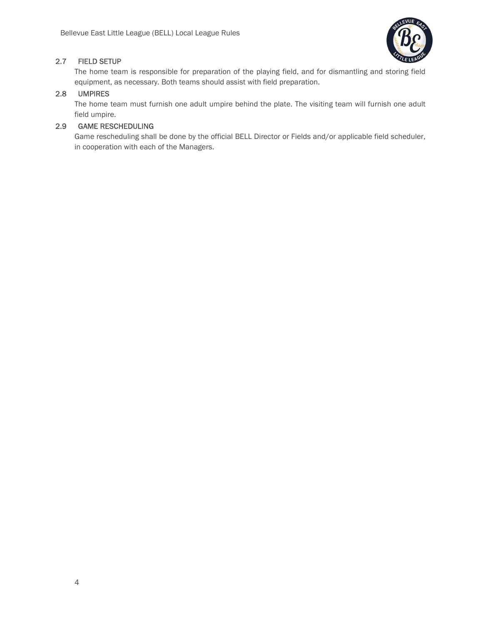

## 2.7 FIELD SETUP

The home team is responsible for preparation of the playing field, and for dismantling and storing field equipment, as necessary. Both teams should assist with field preparation.

## 2.8 UMPIRES

The home team must furnish one adult umpire behind the plate. The visiting team will furnish one adult field umpire.

## 2.9 GAME RESCHEDULING

Game rescheduling shall be done by the official BELL Director or Fields and/or applicable field scheduler, in cooperation with each of the Managers.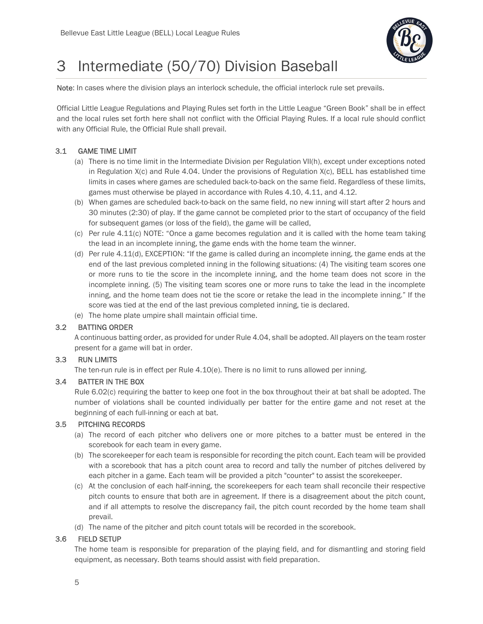

## 3 Intermediate (50/70) Division Baseball

Note: In cases where the division plays an interlock schedule, the official interlock rule set prevails.

Official Little League Regulations and Playing Rules set forth in the Little League "Green Book" shall be in effect and the local rules set forth here shall not conflict with the Official Playing Rules. If a local rule should conflict with any Official Rule, the Official Rule shall prevail.

## 3.1 GAME TIME LIMIT

- (a) There is no time limit in the Intermediate Division per Regulation VII(h), except under exceptions noted in Regulation  $X(c)$  and Rule 4.04. Under the provisions of Regulation  $X(c)$ , BELL has established time limits in cases where games are scheduled back-to-back on the same field. Regardless of these limits, games must otherwise be played in accordance with Rules 4.10, 4.11, and 4.12.
- (b) When games are scheduled back-to-back on the same field, no new inning will start after 2 hours and 30 minutes (2:30) of play. If the game cannot be completed prior to the start of occupancy of the field for subsequent games (or loss of the field), the game will be called,
- (c) Per rule 4.11(c) NOTE: "Once a game becomes regulation and it is called with the home team taking the lead in an incomplete inning, the game ends with the home team the winner.
- (d) Per rule 4.11(d), EXCEPTION: "If the game is called during an incomplete inning, the game ends at the end of the last previous completed inning in the following situations: (4) The visiting team scores one or more runs to tie the score in the incomplete inning, and the home team does not score in the incomplete inning. (5) The visiting team scores one or more runs to take the lead in the incomplete inning, and the home team does not tie the score or retake the lead in the incomplete inning." If the score was tied at the end of the last previous completed inning, tie is declared.
- (e) The home plate umpire shall maintain official time.

## 3.2 BATTING ORDER

A continuous batting order, as provided for under Rule 4.04, shall be adopted. All players on the team roster present for a game will bat in order.

#### 3.3 RUN LIMITS

The ten-run rule is in effect per Rule 4.10(e). There is no limit to runs allowed per inning.

## 3.4 BATTER IN THE BOX

Rule 6.02(c) requiring the batter to keep one foot in the box throughout their at bat shall be adopted. The number of violations shall be counted individually per batter for the entire game and not reset at the beginning of each full-inning or each at bat.

## 3.5 PITCHING RECORDS

- (a) The record of each pitcher who delivers one or more pitches to a batter must be entered in the scorebook for each team in every game.
- (b) The scorekeeper for each team is responsible for recording the pitch count. Each team will be provided with a scorebook that has a pitch count area to record and tally the number of pitches delivered by each pitcher in a game. Each team will be provided a pitch "counter" to assist the scorekeeper.
- (c) At the conclusion of each half-inning, the scorekeepers for each team shall reconcile their respective pitch counts to ensure that both are in agreement. If there is a disagreement about the pitch count, and if all attempts to resolve the discrepancy fail, the pitch count recorded by the home team shall prevail.
- (d) The name of the pitcher and pitch count totals will be recorded in the scorebook.

## 3.6 FIELD SETUP

The home team is responsible for preparation of the playing field, and for dismantling and storing field equipment, as necessary. Both teams should assist with field preparation.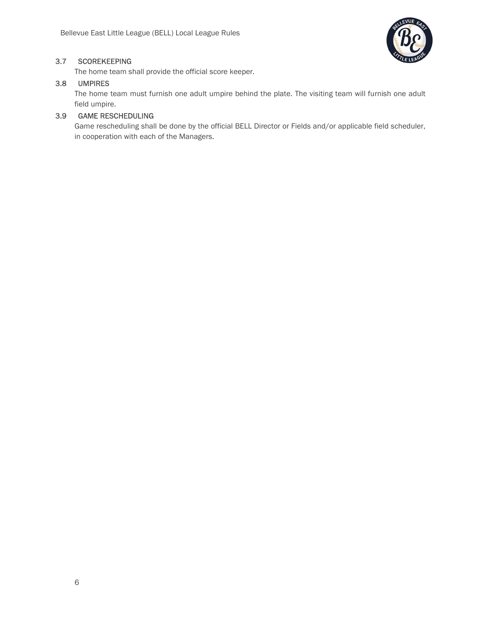

## 3.7 SCOREKEEPING

The home team shall provide the official score keeper.

## 3.8 UMPIRES

The home team must furnish one adult umpire behind the plate. The visiting team will furnish one adult field umpire.

## 3.9 GAME RESCHEDULING

Game rescheduling shall be done by the official BELL Director or Fields and/or applicable field scheduler, in cooperation with each of the Managers.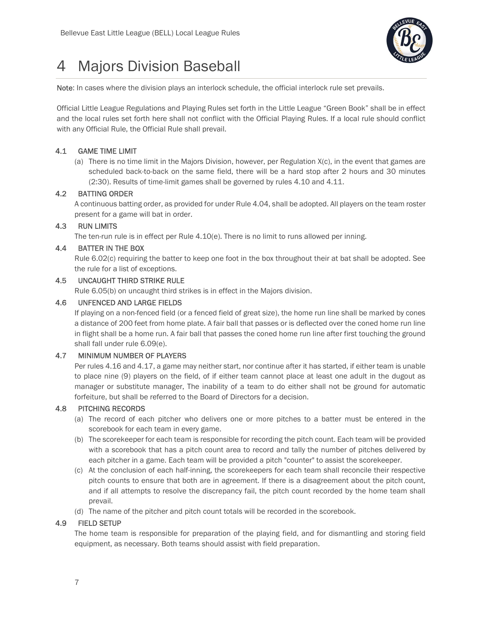

## 4 Majors Division Baseball

Note: In cases where the division plays an interlock schedule, the official interlock rule set prevails.

Official Little League Regulations and Playing Rules set forth in the Little League "Green Book" shall be in effect and the local rules set forth here shall not conflict with the Official Playing Rules. If a local rule should conflict with any Official Rule, the Official Rule shall prevail.

## 4.1 GAME TIME LIMIT

(a) There is no time limit in the Majors Division, however, per Regulation X(c), in the event that games are scheduled back-to-back on the same field, there will be a hard stop after 2 hours and 30 minutes (2:30). Results of time-limit games shall be governed by rules 4.10 and 4.11.

## 4.2 BATTING ORDER

A continuous batting order, as provided for under Rule 4.04, shall be adopted. All players on the team roster present for a game will bat in order.

## 4.3 RUN LIMITS

The ten-run rule is in effect per Rule 4.10(e). There is no limit to runs allowed per inning.

## 4.4 BATTER IN THE BOX

Rule 6.02(c) requiring the batter to keep one foot in the box throughout their at bat shall be adopted. See the rule for a list of exceptions.

## 4.5 UNCAUGHT THIRD STRIKE RULE

Rule 6.05(b) on uncaught third strikes is in effect in the Majors division.

## 4.6 UNFENCED AND LARGE FIELDS

If playing on a non-fenced field (or a fenced field of great size), the home run line shall be marked by cones a distance of 200 feet from home plate. A fair ball that passes or is deflected over the coned home run line in flight shall be a home run. A fair ball that passes the coned home run line after first touching the ground shall fall under rule 6.09(e).

## 4.7 MINIMUM NUMBER OF PLAYERS

Per rules 4.16 and 4.17, a game may neither start, nor continue after it has started, if either team is unable to place nine (9) players on the field, of if either team cannot place at least one adult in the dugout as manager or substitute manager, The inability of a team to do either shall not be ground for automatic forfeiture, but shall be referred to the Board of Directors for a decision.

## 4.8 PITCHING RECORDS

- (a) The record of each pitcher who delivers one or more pitches to a batter must be entered in the scorebook for each team in every game.
- (b) The scorekeeper for each team is responsible for recording the pitch count. Each team will be provided with a scorebook that has a pitch count area to record and tally the number of pitches delivered by each pitcher in a game. Each team will be provided a pitch "counter" to assist the scorekeeper.
- (c) At the conclusion of each half-inning, the scorekeepers for each team shall reconcile their respective pitch counts to ensure that both are in agreement. If there is a disagreement about the pitch count, and if all attempts to resolve the discrepancy fail, the pitch count recorded by the home team shall prevail.
- (d) The name of the pitcher and pitch count totals will be recorded in the scorebook.

#### 4.9 FIELD SETUP

The home team is responsible for preparation of the playing field, and for dismantling and storing field equipment, as necessary. Both teams should assist with field preparation.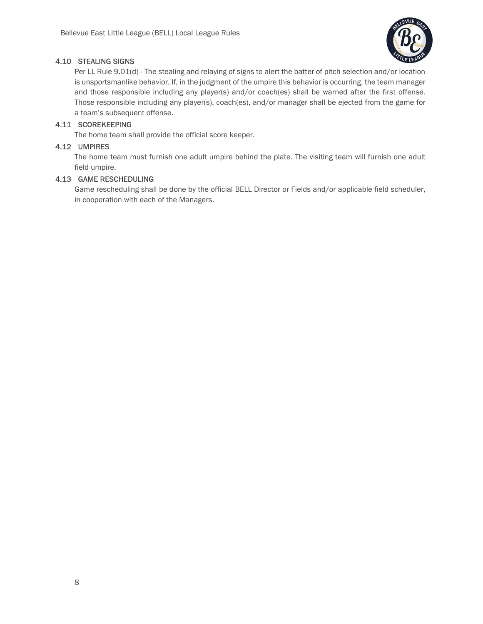

## 4.10 STEALING SIGNS

Per LL Rule 9.01(d) - The stealing and relaying of signs to alert the batter of pitch selection and/or location is unsportsmanlike behavior. If, in the judgment of the umpire this behavior is occurring, the team manager and those responsible including any player(s) and/or coach(es) shall be warned after the first offense. Those responsible including any player(s), coach(es), and/or manager shall be ejected from the game for a team's subsequent offense.

## 4.11 SCOREKEEPING

The home team shall provide the official score keeper.

### 4.12 UMPIRES

The home team must furnish one adult umpire behind the plate. The visiting team will furnish one adult field umpire.

## 4.13 GAME RESCHEDULING

Game rescheduling shall be done by the official BELL Director or Fields and/or applicable field scheduler, in cooperation with each of the Managers.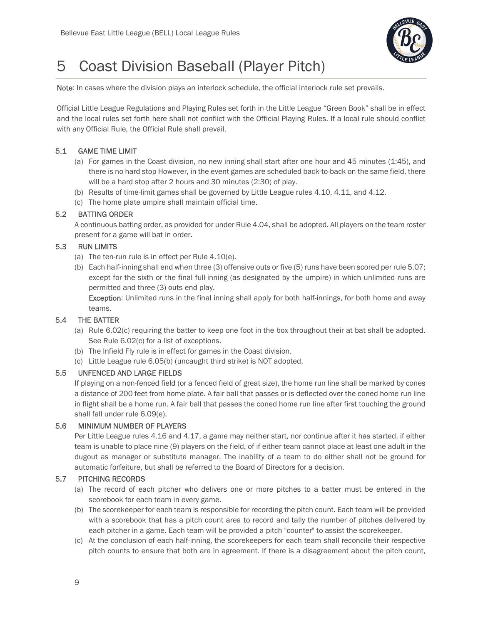

## 5 Coast Division Baseball (Player Pitch)

Note: In cases where the division plays an interlock schedule, the official interlock rule set prevails.

Official Little League Regulations and Playing Rules set forth in the Little League "Green Book" shall be in effect and the local rules set forth here shall not conflict with the Official Playing Rules. If a local rule should conflict with any Official Rule, the Official Rule shall prevail.

## 5.1 GAME TIME LIMIT

- (a) For games in the Coast division, no new inning shall start after one hour and 45 minutes (1:45), and there is no hard stop However, in the event games are scheduled back-to-back on the same field, there will be a hard stop after 2 hours and 30 minutes (2:30) of play.
- (b) Results of time-limit games shall be governed by Little League rules 4.10, 4.11, and 4.12.
- (c) The home plate umpire shall maintain official time.

## 5.2 BATTING ORDER

A continuous batting order, as provided for under Rule 4.04, shall be adopted. All players on the team roster present for a game will bat in order.

## 5.3 RUN LIMITS

- (a) The ten-run rule is in effect per Rule 4.10(e).
- (b) Each half-inning shall end when three (3) offensive outs or five (5) runs have been scored per rule 5.07; except for the sixth or the final full-inning (as designated by the umpire) in which unlimited runs are permitted and three (3) outs end play.

Exception: Unlimited runs in the final inning shall apply for both half-innings, for both home and away teams.

## 5.4 THE BATTER

- (a) Rule 6.02(c) requiring the batter to keep one foot in the box throughout their at bat shall be adopted. See Rule 6.02(c) for a list of exceptions.
- (b) The Infield Fly rule is in effect for games in the Coast division.
- (c) Little League rule 6.05(b) (uncaught third strike) is NOT adopted.

## 5.5 UNFENCED AND LARGE FIELDS

If playing on a non-fenced field (or a fenced field of great size), the home run line shall be marked by cones a distance of 200 feet from home plate. A fair ball that passes or is deflected over the coned home run line in flight shall be a home run. A fair ball that passes the coned home run line after first touching the ground shall fall under rule 6.09(e).

## 5.6 MINIMUM NUMBER OF PLAYERS

Per Little League rules 4.16 and 4.17, a game may neither start, nor continue after it has started, if either team is unable to place nine (9) players on the field, of if either team cannot place at least one adult in the dugout as manager or substitute manager, The inability of a team to do either shall not be ground for automatic forfeiture, but shall be referred to the Board of Directors for a decision.

## 5.7 PITCHING RECORDS

- (a) The record of each pitcher who delivers one or more pitches to a batter must be entered in the scorebook for each team in every game.
- (b) The scorekeeper for each team is responsible for recording the pitch count. Each team will be provided with a scorebook that has a pitch count area to record and tally the number of pitches delivered by each pitcher in a game. Each team will be provided a pitch "counter" to assist the scorekeeper.
- (c) At the conclusion of each half-inning, the scorekeepers for each team shall reconcile their respective pitch counts to ensure that both are in agreement. If there is a disagreement about the pitch count,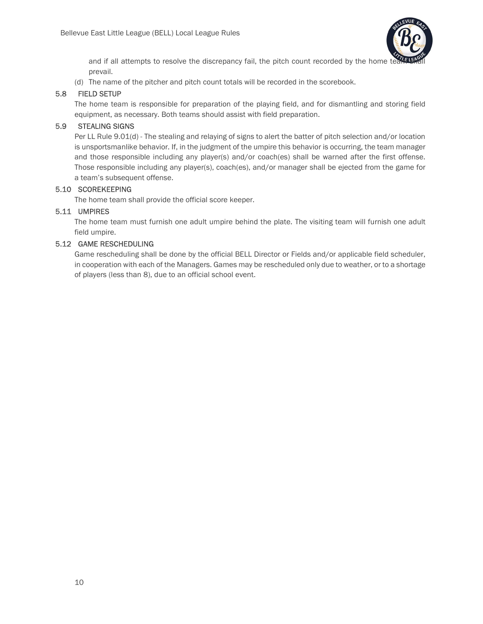

and if all attempts to resolve the discrepancy fail, the pitch count recorded by the home te prevail.

(d) The name of the pitcher and pitch count totals will be recorded in the scorebook.

## 5.8 FIELD SETUP

The home team is responsible for preparation of the playing field, and for dismantling and storing field equipment, as necessary. Both teams should assist with field preparation.

## 5.9 STEALING SIGNS

Per LL Rule 9.01(d) - The stealing and relaying of signs to alert the batter of pitch selection and/or location is unsportsmanlike behavior. If, in the judgment of the umpire this behavior is occurring, the team manager and those responsible including any player(s) and/or coach(es) shall be warned after the first offense. Those responsible including any player(s), coach(es), and/or manager shall be ejected from the game for a team's subsequent offense.

## 5.10 SCOREKEEPING

The home team shall provide the official score keeper.

## 5.11 UMPIRES

The home team must furnish one adult umpire behind the plate. The visiting team will furnish one adult field umpire.

## 5.12 GAME RESCHEDULING

Game rescheduling shall be done by the official BELL Director or Fields and/or applicable field scheduler, in cooperation with each of the Managers. Games may be rescheduled only due to weather, or to a shortage of players (less than 8), due to an official school event.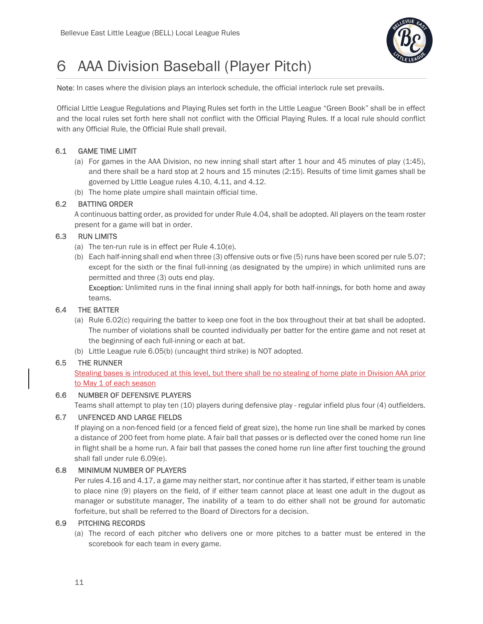

## 6 AAA Division Baseball (Player Pitch)

Note: In cases where the division plays an interlock schedule, the official interlock rule set prevails.

Official Little League Regulations and Playing Rules set forth in the Little League "Green Book" shall be in effect and the local rules set forth here shall not conflict with the Official Playing Rules. If a local rule should conflict with any Official Rule, the Official Rule shall prevail.

## 6.1 GAME TIME LIMIT

- (a) For games in the AAA Division, no new inning shall start after 1 hour and 45 minutes of play (1:45), and there shall be a hard stop at 2 hours and 15 minutes (2:15). Results of time limit games shall be governed by Little League rules 4.10, 4.11, and 4.12.
- (b) The home plate umpire shall maintain official time.

## 6.2 BATTING ORDER

A continuous batting order, as provided for under Rule 4.04, shall be adopted. All players on the team roster present for a game will bat in order.

## 6.3 RUN LIMITS

- (a) The ten-run rule is in effect per Rule 4.10(e).
- (b) Each half-inning shall end when three (3) offensive outs or five (5) runs have been scored per rule 5.07; except for the sixth or the final full-inning (as designated by the umpire) in which unlimited runs are permitted and three (3) outs end play.

Exception: Unlimited runs in the final inning shall apply for both half-innings, for both home and away teams.

## 6.4 THE BATTER

- (a) Rule 6.02(c) requiring the batter to keep one foot in the box throughout their at bat shall be adopted. The number of violations shall be counted individually per batter for the entire game and not reset at the beginning of each full-inning or each at bat.
- (b) Little League rule 6.05(b) (uncaught third strike) is NOT adopted.

## 6.5 THE RUNNER

Stealing bases is introduced at this level, but there shall be no stealing of home plate in Division AAA prior to May 1 of each season

## 6.6 NUMBER OF DEFENSIVE PLAYERS

Teams shall attempt to play ten (10) players during defensive play - regular infield plus four (4) outfielders.

### 6.7 UNFENCED AND LARGE FIELDS

If playing on a non-fenced field (or a fenced field of great size), the home run line shall be marked by cones a distance of 200 feet from home plate. A fair ball that passes or is deflected over the coned home run line in flight shall be a home run. A fair ball that passes the coned home run line after first touching the ground shall fall under rule 6.09(e).

## 6.8 MINIMUM NUMBER OF PLAYERS

Per rules 4.16 and 4.17, a game may neither start, nor continue after it has started, if either team is unable to place nine (9) players on the field, of if either team cannot place at least one adult in the dugout as manager or substitute manager, The inability of a team to do either shall not be ground for automatic forfeiture, but shall be referred to the Board of Directors for a decision.

#### 6.9 PITCHING RECORDS

(a) The record of each pitcher who delivers one or more pitches to a batter must be entered in the scorebook for each team in every game.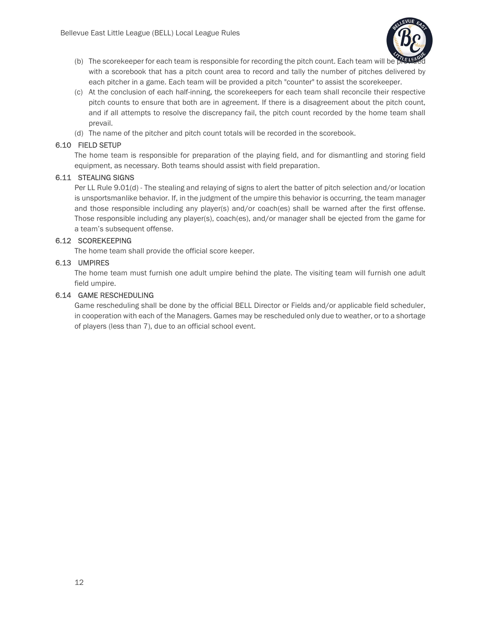

- (b) The scorekeeper for each team is responsible for recording the pitch count. Each team will be with a scorebook that has a pitch count area to record and tally the number of pitches delivered by each pitcher in a game. Each team will be provided a pitch "counter" to assist the scorekeeper.
- (c) At the conclusion of each half-inning, the scorekeepers for each team shall reconcile their respective pitch counts to ensure that both are in agreement. If there is a disagreement about the pitch count, and if all attempts to resolve the discrepancy fail, the pitch count recorded by the home team shall prevail.
- (d) The name of the pitcher and pitch count totals will be recorded in the scorebook.

## 6.10 FIELD SETUP

The home team is responsible for preparation of the playing field, and for dismantling and storing field equipment, as necessary. Both teams should assist with field preparation.

## 6.11 STEALING SIGNS

Per LL Rule 9.01(d) - The stealing and relaying of signs to alert the batter of pitch selection and/or location is unsportsmanlike behavior. If, in the judgment of the umpire this behavior is occurring, the team manager and those responsible including any player(s) and/or coach(es) shall be warned after the first offense. Those responsible including any player(s), coach(es), and/or manager shall be ejected from the game for a team's subsequent offense.

## 6.12 SCOREKEEPING

The home team shall provide the official score keeper.

## 6.13 UMPIRES

The home team must furnish one adult umpire behind the plate. The visiting team will furnish one adult field umpire.

## 6.14 GAME RESCHEDULING

Game rescheduling shall be done by the official BELL Director or Fields and/or applicable field scheduler, in cooperation with each of the Managers. Games may be rescheduled only due to weather, or to a shortage of players (less than 7), due to an official school event.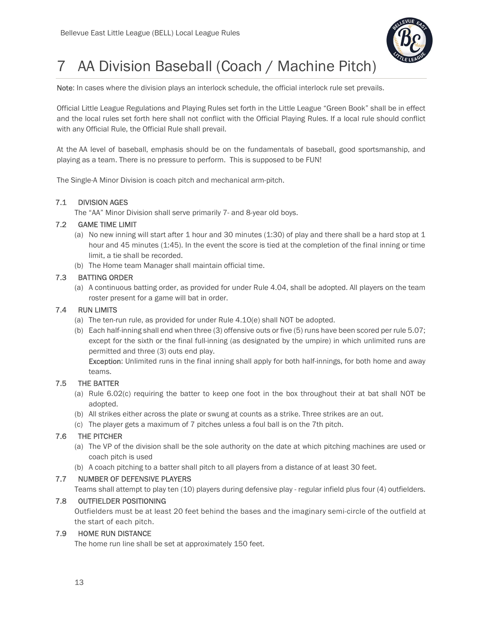

## 7 AA Division Baseball (Coach / Machine Pitch)

Note: In cases where the division plays an interlock schedule, the official interlock rule set prevails.

Official Little League Regulations and Playing Rules set forth in the Little League "Green Book" shall be in effect and the local rules set forth here shall not conflict with the Official Playing Rules. If a local rule should conflict with any Official Rule, the Official Rule shall prevail.

At the AA level of baseball, emphasis should be on the fundamentals of baseball, good sportsmanship, and playing as a team. There is no pressure to perform. This is supposed to be FUN!

The Single-A Minor Division is coach pitch and mechanical arm-pitch.

## 7.1 DIVISION AGES

The "AA" Minor Division shall serve primarily 7- and 8-year old boys.

## 7.2 GAME TIME LIMIT

- (a) No new inning will start after 1 hour and 30 minutes (1:30) of play and there shall be a hard stop at 1 hour and 45 minutes (1:45). In the event the score is tied at the completion of the final inning or time limit, a tie shall be recorded.
- (b) The Home team Manager shall maintain official time.

## 7.3 BATTING ORDER

(a) A continuous batting order, as provided for under Rule 4.04, shall be adopted. All players on the team roster present for a game will bat in order.

## 7.4 RUN LIMITS

- (a) The ten-run rule, as provided for under Rule 4.10(e) shall NOT be adopted.
- (b) Each half-inning shall end when three (3) offensive outs or five (5) runs have been scored per rule 5.07; except for the sixth or the final full-inning (as designated by the umpire) in which unlimited runs are permitted and three (3) outs end play.

Exception: Unlimited runs in the final inning shall apply for both half-innings, for both home and away teams.

## 7.5 THE BATTER

- (a) Rule 6.02(c) requiring the batter to keep one foot in the box throughout their at bat shall NOT be adopted.
- (b) All strikes either across the plate or swung at counts as a strike. Three strikes are an out.
- (c) The player gets a maximum of 7 pitches unless a foul ball is on the 7th pitch.

## 7.6 THE PITCHER

- (a) The VP of the division shall be the sole authority on the date at which pitching machines are used or coach pitch is used
- (b) A coach pitching to a batter shall pitch to all players from a distance of at least 30 feet.

## 7.7 NUMBER OF DEFENSIVE PLAYERS

Teams shall attempt to play ten (10) players during defensive play - regular infield plus four (4) outfielders.

## 7.8 OUTFIELDER POSITIONING

Outfielders must be at least 20 feet behind the bases and the imaginary semi-circle of the outfield at the start of each pitch.

## 7.9 HOME RUN DISTANCE

The home run line shall be set at approximately 150 feet.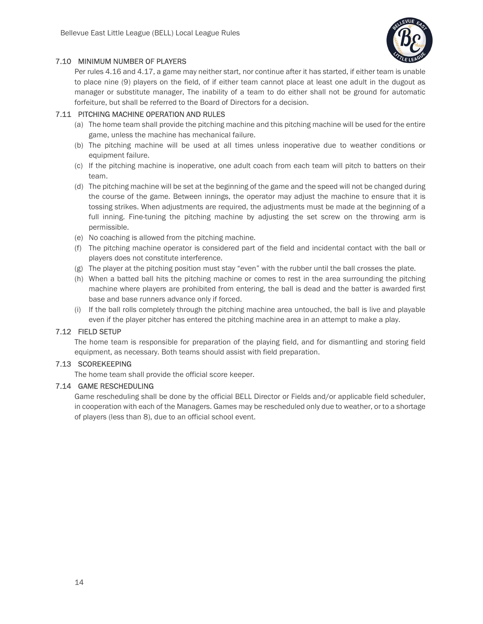

## 7.10 MINIMUM NUMBER OF PLAYERS

Per rules 4.16 and 4.17, a game may neither start, nor continue after it has started, if either team is unable to place nine (9) players on the field, of if either team cannot place at least one adult in the dugout as manager or substitute manager, The inability of a team to do either shall not be ground for automatic forfeiture, but shall be referred to the Board of Directors for a decision.

## 7.11 PITCHING MACHINE OPERATION AND RULES

- (a) The home team shall provide the pitching machine and this pitching machine will be used for the entire game, unless the machine has mechanical failure.
- (b) The pitching machine will be used at all times unless inoperative due to weather conditions or equipment failure.
- (c) If the pitching machine is inoperative, one adult coach from each team will pitch to batters on their team.
- (d) The pitching machine will be set at the beginning of the game and the speed will not be changed during the course of the game. Between innings, the operator may adjust the machine to ensure that it is tossing strikes. When adjustments are required, the adjustments must be made at the beginning of a full inning. Fine-tuning the pitching machine by adjusting the set screw on the throwing arm is permissible.
- (e) No coaching is allowed from the pitching machine.
- (f) The pitching machine operator is considered part of the field and incidental contact with the ball or players does not constitute interference.
- (g) The player at the pitching position must stay "even" with the rubber until the ball crosses the plate.
- (h) When a batted ball hits the pitching machine or comes to rest in the area surrounding the pitching machine where players are prohibited from entering, the ball is dead and the batter is awarded first base and base runners advance only if forced.
- (i) If the ball rolls completely through the pitching machine area untouched, the ball is live and playable even if the player pitcher has entered the pitching machine area in an attempt to make a play.

## 7.12 FIELD SETUP

The home team is responsible for preparation of the playing field, and for dismantling and storing field equipment, as necessary. Both teams should assist with field preparation.

## 7.13 SCOREKEEPING

The home team shall provide the official score keeper.

#### 7.14 GAME RESCHEDULING

Game rescheduling shall be done by the official BELL Director or Fields and/or applicable field scheduler, in cooperation with each of the Managers. Games may be rescheduled only due to weather, or to a shortage of players (less than 8), due to an official school event.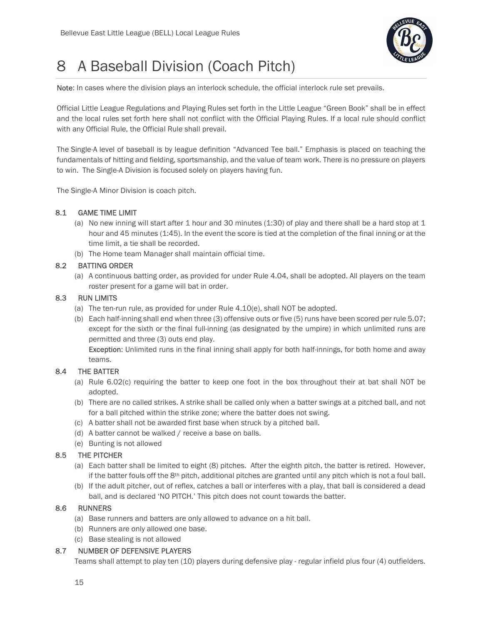

## 8 A Baseball Division (Coach Pitch)

Note: In cases where the division plays an interlock schedule, the official interlock rule set prevails.

Official Little League Regulations and Playing Rules set forth in the Little League "Green Book" shall be in effect and the local rules set forth here shall not conflict with the Official Playing Rules. If a local rule should conflict with any Official Rule, the Official Rule shall prevail.

The Single-A level of baseball is by league definition "Advanced Tee ball." Emphasis is placed on teaching the fundamentals of hitting and fielding, sportsmanship, and the value of team work. There is no pressure on players to win. The Single-A Division is focused solely on players having fun.

The Single-A Minor Division is coach pitch.

## 8.1 GAME TIME LIMIT

- (a) No new inning will start after 1 hour and 30 minutes (1:30) of play and there shall be a hard stop at 1 hour and 45 minutes (1:45). In the event the score is tied at the completion of the final inning or at the time limit, a tie shall be recorded.
- (b) The Home team Manager shall maintain official time.

## 8.2 BATTING ORDER

(a) A continuous batting order, as provided for under Rule 4.04, shall be adopted. All players on the team roster present for a game will bat in order.

## 8.3 RUN LIMITS

- (a) The ten-run rule, as provided for under Rule 4.10(e), shall NOT be adopted.
- (b) Each half-inning shall end when three (3) offensive outs or five (5) runs have been scored per rule 5.07; except for the sixth or the final full-inning (as designated by the umpire) in which unlimited runs are permitted and three (3) outs end play.

Exception: Unlimited runs in the final inning shall apply for both half-innings, for both home and away teams.

## 8.4 THE BATTER

- (a) Rule 6.02(c) requiring the batter to keep one foot in the box throughout their at bat shall NOT be adopted.
- (b) There are no called strikes. A strike shall be called only when a batter swings at a pitched ball, and not for a ball pitched within the strike zone; where the batter does not swing.
- (c) A batter shall not be awarded first base when struck by a pitched ball.
- (d) A batter cannot be walked / receive a base on balls.
- (e) Bunting is not allowed

## 8.5 THE PITCHER

- (a) Each batter shall be limited to eight (8) pitches. After the eighth pitch, the batter is retired. However, if the batter fouls off the  $8<sup>th</sup>$  pitch, additional pitches are granted until any pitch which is not a foul ball.
- (b) If the adult pitcher, out of reflex, catches a ball or interferes with a play, that ball is considered a dead ball, and is declared 'NO PITCH.' This pitch does not count towards the batter.

## 8.6 RUNNERS

- (a) Base runners and batters are only allowed to advance on a hit ball.
- (b) Runners are only allowed one base.
- (c) Base stealing is not allowed

## 8.7 NUMBER OF DEFENSIVE PLAYERS

Teams shall attempt to play ten (10) players during defensive play - regular infield plus four (4) outfielders.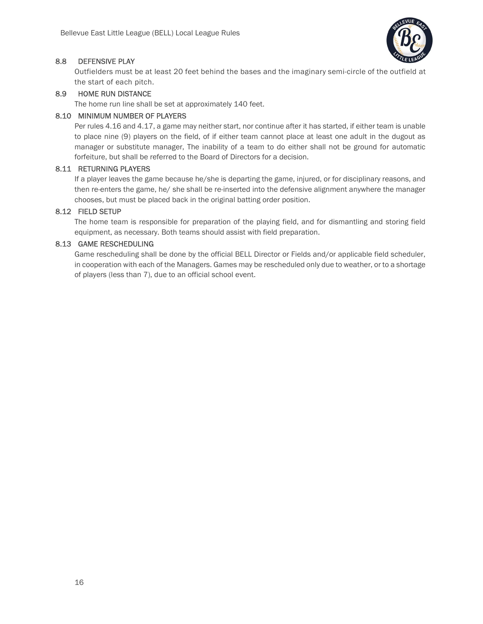

## 8.8 DEFENSIVE PLAY

Outfielders must be at least 20 feet behind the bases and the imaginary semi-circle of the outfield at the start of each pitch.

## 8.9 HOME RUN DISTANCE

The home run line shall be set at approximately 140 feet.

### 8.10 MINIMUM NUMBER OF PLAYERS

Per rules 4.16 and 4.17, a game may neither start, nor continue after it has started, if either team is unable to place nine (9) players on the field, of if either team cannot place at least one adult in the dugout as manager or substitute manager, The inability of a team to do either shall not be ground for automatic forfeiture, but shall be referred to the Board of Directors for a decision.

## 8.11 RETURNING PLAYERS

If a player leaves the game because he/she is departing the game, injured, or for disciplinary reasons, and then re-enters the game, he/ she shall be re-inserted into the defensive alignment anywhere the manager chooses, but must be placed back in the original batting order position.

## 8.12 FIELD SETUP

The home team is responsible for preparation of the playing field, and for dismantling and storing field equipment, as necessary. Both teams should assist with field preparation.

### 8.13 GAME RESCHEDULING

Game rescheduling shall be done by the official BELL Director or Fields and/or applicable field scheduler, in cooperation with each of the Managers. Games may be rescheduled only due to weather, or to a shortage of players (less than 7), due to an official school event.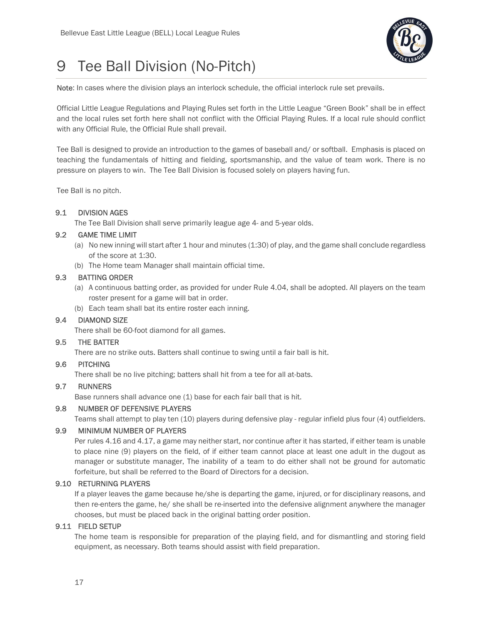

## 9 Tee Ball Division (No-Pitch)

Note: In cases where the division plays an interlock schedule, the official interlock rule set prevails.

Official Little League Regulations and Playing Rules set forth in the Little League "Green Book" shall be in effect and the local rules set forth here shall not conflict with the Official Playing Rules. If a local rule should conflict with any Official Rule, the Official Rule shall prevail.

Tee Ball is designed to provide an introduction to the games of baseball and/ or softball. Emphasis is placed on teaching the fundamentals of hitting and fielding, sportsmanship, and the value of team work. There is no pressure on players to win. The Tee Ball Division is focused solely on players having fun.

Tee Ball is no pitch.

## 9.1 DIVISION AGES

The Tee Ball Division shall serve primarily league age 4- and 5-year olds.

## 9.2 GAME TIME LIMIT

- (a) No new inning will start after 1 hour and minutes (1:30) of play, and the game shall conclude regardless of the score at 1:30.
- (b) The Home team Manager shall maintain official time.

## 9.3 BATTING ORDER

- (a) A continuous batting order, as provided for under Rule 4.04, shall be adopted. All players on the team roster present for a game will bat in order.
- (b) Each team shall bat its entire roster each inning.

## 9.4 DIAMOND SIZE

There shall be 60-foot diamond for all games.

## 9.5 THE BATTER

There are no strike outs. Batters shall continue to swing until a fair ball is hit.

## 9.6 PITCHING

There shall be no live pitching; batters shall hit from a tee for all at-bats.

### 9.7 RUNNERS

Base runners shall advance one (1) base for each fair ball that is hit.

## 9.8 NUMBER OF DEFENSIVE PLAYERS

Teams shall attempt to play ten (10) players during defensive play - regular infield plus four (4) outfielders.

## 9.9 MINIMUM NUMBER OF PLAYERS

Per rules 4.16 and 4.17, a game may neither start, nor continue after it has started, if either team is unable to place nine (9) players on the field, of if either team cannot place at least one adult in the dugout as manager or substitute manager, The inability of a team to do either shall not be ground for automatic forfeiture, but shall be referred to the Board of Directors for a decision.

## 9.10 RETURNING PLAYERS

If a player leaves the game because he/she is departing the game, injured, or for disciplinary reasons, and then re-enters the game, he/ she shall be re-inserted into the defensive alignment anywhere the manager chooses, but must be placed back in the original batting order position.

#### 9.11 FIELD SETUP

The home team is responsible for preparation of the playing field, and for dismantling and storing field equipment, as necessary. Both teams should assist with field preparation.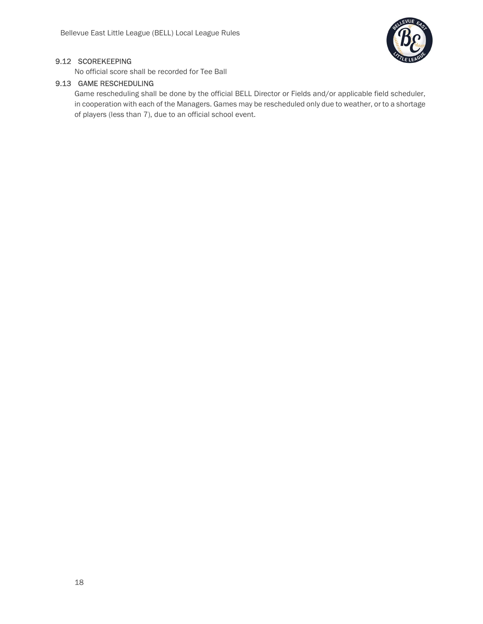

## 9.12 SCOREKEEPING

No official score shall be recorded for Tee Ball

## 9.13 GAME RESCHEDULING

Game rescheduling shall be done by the official BELL Director or Fields and/or applicable field scheduler, in cooperation with each of the Managers. Games may be rescheduled only due to weather, or to a shortage of players (less than 7), due to an official school event.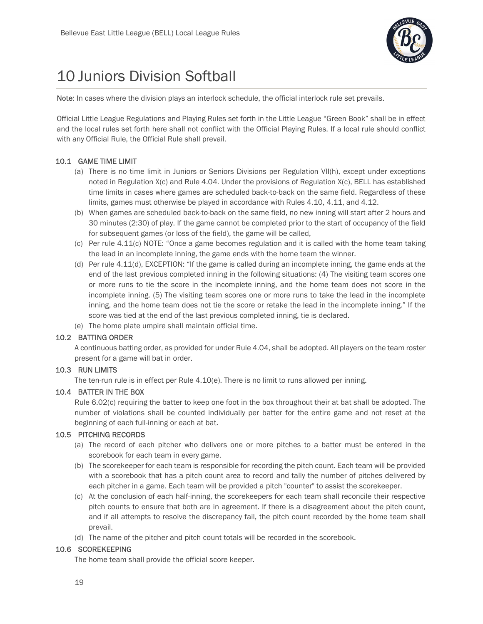

## 10 Juniors Division Softball

Note: In cases where the division plays an interlock schedule, the official interlock rule set prevails.

Official Little League Regulations and Playing Rules set forth in the Little League "Green Book" shall be in effect and the local rules set forth here shall not conflict with the Official Playing Rules. If a local rule should conflict with any Official Rule, the Official Rule shall prevail.

## 10.1 GAME TIME LIMIT

- (a) There is no time limit in Juniors or Seniors Divisions per Regulation VII(h), except under exceptions noted in Regulation X(c) and Rule 4.04. Under the provisions of Regulation X(c), BELL has established time limits in cases where games are scheduled back-to-back on the same field. Regardless of these limits, games must otherwise be played in accordance with Rules 4.10, 4.11, and 4.12.
- (b) When games are scheduled back-to-back on the same field, no new inning will start after 2 hours and 30 minutes (2:30) of play. If the game cannot be completed prior to the start of occupancy of the field for subsequent games (or loss of the field), the game will be called,
- (c) Per rule 4.11(c) NOTE: "Once a game becomes regulation and it is called with the home team taking the lead in an incomplete inning, the game ends with the home team the winner.
- (d) Per rule 4.11(d), EXCEPTION: "If the game is called during an incomplete inning, the game ends at the end of the last previous completed inning in the following situations: (4) The visiting team scores one or more runs to tie the score in the incomplete inning, and the home team does not score in the incomplete inning. (5) The visiting team scores one or more runs to take the lead in the incomplete inning, and the home team does not tie the score or retake the lead in the incomplete inning." If the score was tied at the end of the last previous completed inning, tie is declared.
- (e) The home plate umpire shall maintain official time.

## 10.2 BATTING ORDER

A continuous batting order, as provided for under Rule 4.04, shall be adopted. All players on the team roster present for a game will bat in order.

## 10.3 RUN LIMITS

The ten-run rule is in effect per Rule  $4.10(e)$ . There is no limit to runs allowed per inning.

## 10.4 BATTER IN THE BOX

Rule 6.02(c) requiring the batter to keep one foot in the box throughout their at bat shall be adopted. The number of violations shall be counted individually per batter for the entire game and not reset at the beginning of each full-inning or each at bat.

## 10.5 PITCHING RECORDS

- (a) The record of each pitcher who delivers one or more pitches to a batter must be entered in the scorebook for each team in every game.
- (b) The scorekeeper for each team is responsible for recording the pitch count. Each team will be provided with a scorebook that has a pitch count area to record and tally the number of pitches delivered by each pitcher in a game. Each team will be provided a pitch "counter" to assist the scorekeeper.
- (c) At the conclusion of each half-inning, the scorekeepers for each team shall reconcile their respective pitch counts to ensure that both are in agreement. If there is a disagreement about the pitch count, and if all attempts to resolve the discrepancy fail, the pitch count recorded by the home team shall prevail.
- (d) The name of the pitcher and pitch count totals will be recorded in the scorebook.

## 10.6 SCOREKEEPING

The home team shall provide the official score keeper.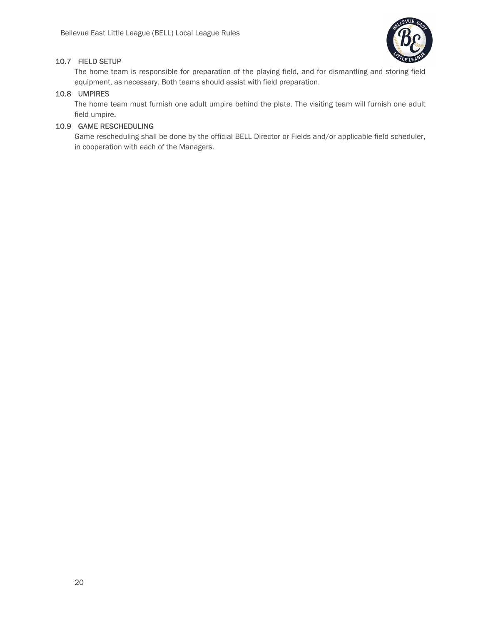

## 10.7 FIELD SETUP

The home team is responsible for preparation of the playing field, and for dismantling and storing field equipment, as necessary. Both teams should assist with field preparation.

## 10.8 UMPIRES

The home team must furnish one adult umpire behind the plate. The visiting team will furnish one adult field umpire.

## 10.9 GAME RESCHEDULING

Game rescheduling shall be done by the official BELL Director or Fields and/or applicable field scheduler, in cooperation with each of the Managers.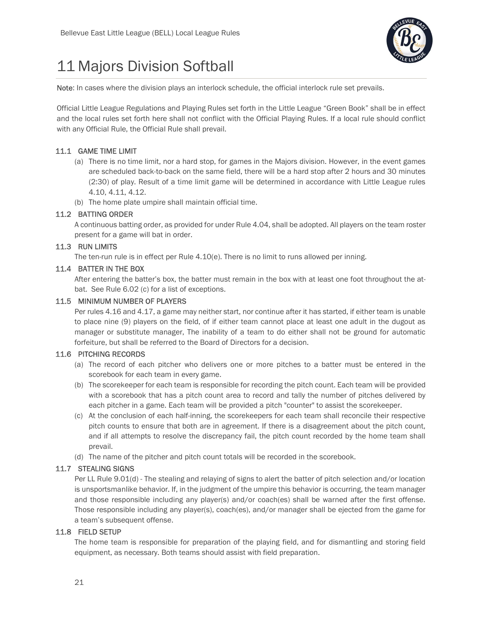

## 11 Majors Division Softball

Note: In cases where the division plays an interlock schedule, the official interlock rule set prevails.

Official Little League Regulations and Playing Rules set forth in the Little League "Green Book" shall be in effect and the local rules set forth here shall not conflict with the Official Playing Rules. If a local rule should conflict with any Official Rule, the Official Rule shall prevail.

## 11.1 GAME TIME LIMIT

- (a) There is no time limit, nor a hard stop, for games in the Majors division. However, in the event games are scheduled back-to-back on the same field, there will be a hard stop after 2 hours and 30 minutes (2:30) of play. Result of a time limit game will be determined in accordance with Little League rules 4.10, 4.11, 4.12.
- (b) The home plate umpire shall maintain official time.

## 11.2 BATTING ORDER

A continuous batting order, as provided for under Rule 4.04, shall be adopted. All players on the team roster present for a game will bat in order.

## 11.3 RUN LIMITS

The ten-run rule is in effect per Rule 4.10(e). There is no limit to runs allowed per inning.

## 11.4 BATTER IN THE BOX

After entering the batter's box, the batter must remain in the box with at least one foot throughout the atbat. See Rule 6.02 (c) for a list of exceptions.

## 11.5 MINIMUM NUMBER OF PLAYERS

Per rules 4.16 and 4.17, a game may neither start, nor continue after it has started, if either team is unable to place nine (9) players on the field, of if either team cannot place at least one adult in the dugout as manager or substitute manager, The inability of a team to do either shall not be ground for automatic forfeiture, but shall be referred to the Board of Directors for a decision.

## 11.6 PITCHING RECORDS

- (a) The record of each pitcher who delivers one or more pitches to a batter must be entered in the scorebook for each team in every game.
- (b) The scorekeeper for each team is responsible for recording the pitch count. Each team will be provided with a scorebook that has a pitch count area to record and tally the number of pitches delivered by each pitcher in a game. Each team will be provided a pitch "counter" to assist the scorekeeper.
- (c) At the conclusion of each half-inning, the scorekeepers for each team shall reconcile their respective pitch counts to ensure that both are in agreement. If there is a disagreement about the pitch count, and if all attempts to resolve the discrepancy fail, the pitch count recorded by the home team shall prevail.
- (d) The name of the pitcher and pitch count totals will be recorded in the scorebook.

## 11.7 STEALING SIGNS

Per LL Rule 9.01(d) - The stealing and relaying of signs to alert the batter of pitch selection and/or location is unsportsmanlike behavior. If, in the judgment of the umpire this behavior is occurring, the team manager and those responsible including any player(s) and/or coach(es) shall be warned after the first offense. Those responsible including any player(s), coach(es), and/or manager shall be ejected from the game for a team's subsequent offense.

## 11.8 FIELD SETUP

The home team is responsible for preparation of the playing field, and for dismantling and storing field equipment, as necessary. Both teams should assist with field preparation.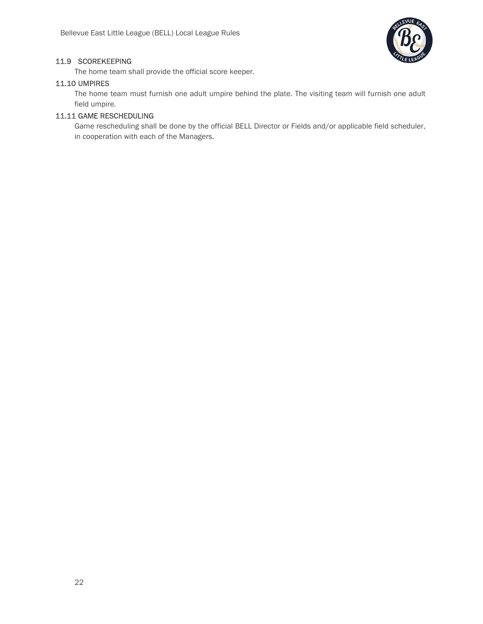

## 11.9 SCOREKEEPING

The home team shall provide the official score keeper.

#### 11.10 UMPIRES

The home team must furnish one adult umpire behind the plate. The visiting team will furnish one adult field umpire.

## 11.11 GAME RESCHEDULING

Game rescheduling shall be done by the official BELL Director or Fields and/or applicable field scheduler, in cooperation with each of the Managers.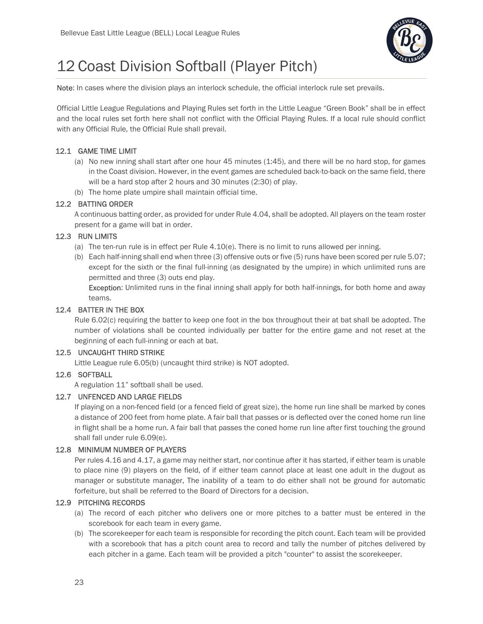

## 12 Coast Division Softball (Player Pitch)

Note: In cases where the division plays an interlock schedule, the official interlock rule set prevails.

Official Little League Regulations and Playing Rules set forth in the Little League "Green Book" shall be in effect and the local rules set forth here shall not conflict with the Official Playing Rules. If a local rule should conflict with any Official Rule, the Official Rule shall prevail.

## 12.1 GAME TIME LIMIT

- (a) No new inning shall start after one hour 45 minutes (1:45), and there will be no hard stop, for games in the Coast division. However, in the event games are scheduled back-to-back on the same field, there will be a hard stop after 2 hours and 30 minutes (2:30) of play.
- (b) The home plate umpire shall maintain official time.

## 12.2 BATTING ORDER

A continuous batting order, as provided for under Rule 4.04, shall be adopted. All players on the team roster present for a game will bat in order.

## 12.3 RUN LIMITS

- (a) The ten-run rule is in effect per Rule 4.10(e). There is no limit to runs allowed per inning.
- (b) Each half-inning shall end when three (3) offensive outs or five (5) runs have been scored per rule 5.07; except for the sixth or the final full-inning (as designated by the umpire) in which unlimited runs are permitted and three (3) outs end play.

Exception: Unlimited runs in the final inning shall apply for both half-innings, for both home and away teams.

## 12.4 BATTER IN THE BOX

Rule 6.02(c) requiring the batter to keep one foot in the box throughout their at bat shall be adopted. The number of violations shall be counted individually per batter for the entire game and not reset at the beginning of each full-inning or each at bat.

## 12.5 UNCAUGHT THIRD STRIKE

Little League rule 6.05(b) (uncaught third strike) is NOT adopted.

## 12.6 SOFTBALL

A regulation 11" softball shall be used.

## 12.7 UNFENCED AND LARGE FIELDS

If playing on a non-fenced field (or a fenced field of great size), the home run line shall be marked by cones a distance of 200 feet from home plate. A fair ball that passes or is deflected over the coned home run line in flight shall be a home run. A fair ball that passes the coned home run line after first touching the ground shall fall under rule 6.09(e).

#### 12.8 MINIMUM NUMBER OF PLAYERS

Per rules 4.16 and 4.17, a game may neither start, nor continue after it has started, if either team is unable to place nine (9) players on the field, of if either team cannot place at least one adult in the dugout as manager or substitute manager, The inability of a team to do either shall not be ground for automatic forfeiture, but shall be referred to the Board of Directors for a decision.

#### 12.9 PITCHING RECORDS

- (a) The record of each pitcher who delivers one or more pitches to a batter must be entered in the scorebook for each team in every game.
- (b) The scorekeeper for each team is responsible for recording the pitch count. Each team will be provided with a scorebook that has a pitch count area to record and tally the number of pitches delivered by each pitcher in a game. Each team will be provided a pitch "counter" to assist the scorekeeper.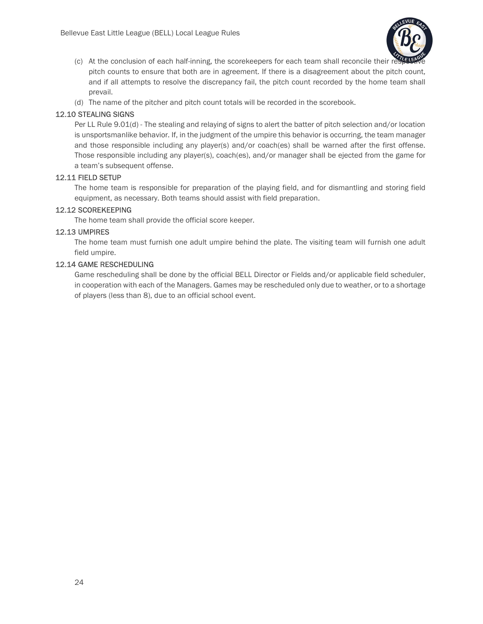

- (c) At the conclusion of each half-inning, the scorekeepers for each team shall reconcile their re pitch counts to ensure that both are in agreement. If there is a disagreement about the pitch count, and if all attempts to resolve the discrepancy fail, the pitch count recorded by the home team shall prevail.
- (d) The name of the pitcher and pitch count totals will be recorded in the scorebook.

## 12.10 STEALING SIGNS

Per LL Rule 9.01(d) - The stealing and relaying of signs to alert the batter of pitch selection and/or location is unsportsmanlike behavior. If, in the judgment of the umpire this behavior is occurring, the team manager and those responsible including any player(s) and/or coach(es) shall be warned after the first offense. Those responsible including any player(s), coach(es), and/or manager shall be ejected from the game for a team's subsequent offense.

## 12.11 FIELD SETUP

The home team is responsible for preparation of the playing field, and for dismantling and storing field equipment, as necessary. Both teams should assist with field preparation.

## 12.12 SCOREKEEPING

The home team shall provide the official score keeper.

## 12.13 UMPIRES

The home team must furnish one adult umpire behind the plate. The visiting team will furnish one adult field umpire.

## 12.14 GAME RESCHEDULING

Game rescheduling shall be done by the official BELL Director or Fields and/or applicable field scheduler, in cooperation with each of the Managers. Games may be rescheduled only due to weather, or to a shortage of players (less than 8), due to an official school event.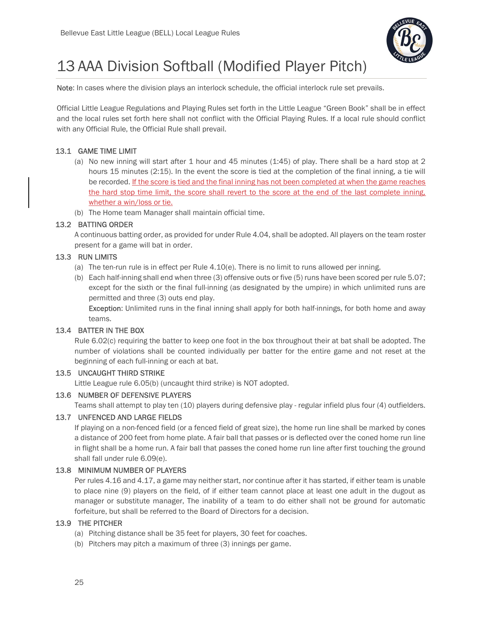

## 13 AAA Division Softball (Modified Player Pitch)

Note: In cases where the division plays an interlock schedule, the official interlock rule set prevails.

Official Little League Regulations and Playing Rules set forth in the Little League "Green Book" shall be in effect and the local rules set forth here shall not conflict with the Official Playing Rules. If a local rule should conflict with any Official Rule, the Official Rule shall prevail.

## 13.1 GAME TIME LIMIT

- (a) No new inning will start after 1 hour and 45 minutes (1:45) of play. There shall be a hard stop at 2 hours 15 minutes (2:15). In the event the score is tied at the completion of the final inning, a tie will be recorded. If the score is tied and the final inning has not been completed at when the game reaches the hard stop time limit, the score shall revert to the score at the end of the last complete inning, whether a win/loss or tie.
- (b) The Home team Manager shall maintain official time.

## 13.2 BATTING ORDER

A continuous batting order, as provided for under Rule 4.04, shall be adopted. All players on the team roster present for a game will bat in order.

## 13.3 RUN LIMITS

- (a) The ten-run rule is in effect per Rule 4.10(e). There is no limit to runs allowed per inning.
- (b) Each half-inning shall end when three (3) offensive outs or five (5) runs have been scored per rule 5.07; except for the sixth or the final full-inning (as designated by the umpire) in which unlimited runs are permitted and three (3) outs end play.

Exception: Unlimited runs in the final inning shall apply for both half-innings, for both home and away teams.

## 13.4 BATTER IN THE BOX

Rule 6.02(c) requiring the batter to keep one foot in the box throughout their at bat shall be adopted. The number of violations shall be counted individually per batter for the entire game and not reset at the beginning of each full-inning or each at bat.

## 13.5 UNCAUGHT THIRD STRIKE

Little League rule 6.05(b) (uncaught third strike) is NOT adopted.

## 13.6 NUMBER OF DEFENSIVE PLAYERS

Teams shall attempt to play ten (10) players during defensive play - regular infield plus four (4) outfielders.

## 13.7 UNFENCED AND LARGE FIELDS

If playing on a non-fenced field (or a fenced field of great size), the home run line shall be marked by cones a distance of 200 feet from home plate. A fair ball that passes or is deflected over the coned home run line in flight shall be a home run. A fair ball that passes the coned home run line after first touching the ground shall fall under rule 6.09(e).

## 13.8 MINIMUM NUMBER OF PLAYERS

Per rules 4.16 and 4.17, a game may neither start, nor continue after it has started, if either team is unable to place nine (9) players on the field, of if either team cannot place at least one adult in the dugout as manager or substitute manager, The inability of a team to do either shall not be ground for automatic forfeiture, but shall be referred to the Board of Directors for a decision.

## 13.9 THE PITCHER

- (a) Pitching distance shall be 35 feet for players, 30 feet for coaches.
- (b) Pitchers may pitch a maximum of three (3) innings per game.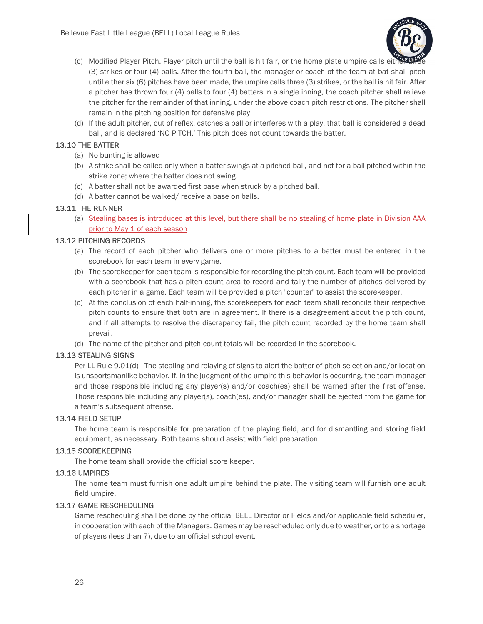

- (c) Modified Player Pitch. Player pitch until the ball is hit fair, or the home plate umpire calls either (3) strikes or four (4) balls. After the fourth ball, the manager or coach of the team at bat shall pitch until either six (6) pitches have been made, the umpire calls three (3) strikes, or the ball is hit fair. After a pitcher has thrown four (4) balls to four (4) batters in a single inning, the coach pitcher shall relieve the pitcher for the remainder of that inning, under the above coach pitch restrictions. The pitcher shall remain in the pitching position for defensive play
- (d) If the adult pitcher, out of reflex, catches a ball or interferes with a play, that ball is considered a dead ball, and is declared 'NO PITCH.' This pitch does not count towards the batter.

## 13.10 THE BATTER

- (a) No bunting is allowed
- (b) A strike shall be called only when a batter swings at a pitched ball, and not for a ball pitched within the strike zone; where the batter does not swing.
- (c) A batter shall not be awarded first base when struck by a pitched ball.
- (d) A batter cannot be walked/ receive a base on balls.

## 13.11 THE RUNNER

(a) Stealing bases is introduced at this level, but there shall be no stealing of home plate in Division AAA prior to May 1 of each season

## 13.12 PITCHING RECORDS

- (a) The record of each pitcher who delivers one or more pitches to a batter must be entered in the scorebook for each team in every game.
- (b) The scorekeeper for each team is responsible for recording the pitch count. Each team will be provided with a scorebook that has a pitch count area to record and tally the number of pitches delivered by each pitcher in a game. Each team will be provided a pitch "counter" to assist the scorekeeper.
- (c) At the conclusion of each half-inning, the scorekeepers for each team shall reconcile their respective pitch counts to ensure that both are in agreement. If there is a disagreement about the pitch count, and if all attempts to resolve the discrepancy fail, the pitch count recorded by the home team shall prevail.
- (d) The name of the pitcher and pitch count totals will be recorded in the scorebook.

## 13.13 STEALING SIGNS

Per LL Rule 9.01(d) - The stealing and relaying of signs to alert the batter of pitch selection and/or location is unsportsmanlike behavior. If, in the judgment of the umpire this behavior is occurring, the team manager and those responsible including any player(s) and/or coach(es) shall be warned after the first offense. Those responsible including any player(s), coach(es), and/or manager shall be ejected from the game for a team's subsequent offense.

## 13.14 FIELD SETUP

The home team is responsible for preparation of the playing field, and for dismantling and storing field equipment, as necessary. Both teams should assist with field preparation.

## 13.15 SCOREKEEPING

The home team shall provide the official score keeper.

#### 13.16 UMPIRES

The home team must furnish one adult umpire behind the plate. The visiting team will furnish one adult field umpire.

#### 13.17 GAME RESCHEDULING

Game rescheduling shall be done by the official BELL Director or Fields and/or applicable field scheduler, in cooperation with each of the Managers. Games may be rescheduled only due to weather, or to a shortage of players (less than 7), due to an official school event.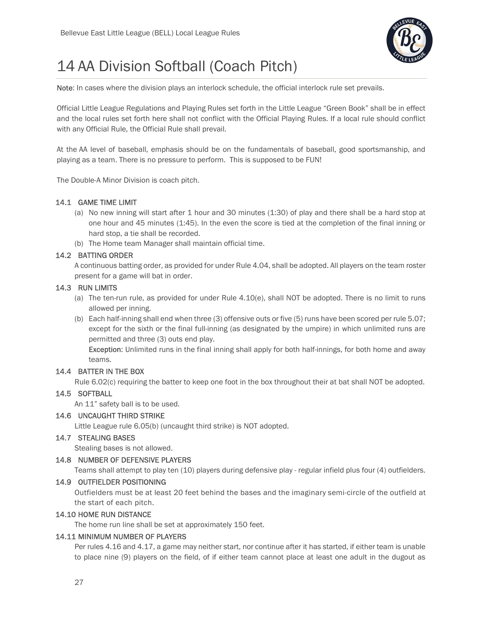

## 14 AA Division Softball (Coach Pitch)

Note: In cases where the division plays an interlock schedule, the official interlock rule set prevails.

Official Little League Regulations and Playing Rules set forth in the Little League "Green Book" shall be in effect and the local rules set forth here shall not conflict with the Official Playing Rules. If a local rule should conflict with any Official Rule, the Official Rule shall prevail.

At the AA level of baseball, emphasis should be on the fundamentals of baseball, good sportsmanship, and playing as a team. There is no pressure to perform. This is supposed to be FUN!

The Double-A Minor Division is coach pitch.

## 14.1 GAME TIME LIMIT

- (a) No new inning will start after 1 hour and 30 minutes (1:30) of play and there shall be a hard stop at one hour and 45 minutes (1:45). In the even the score is tied at the completion of the final inning or hard stop, a tie shall be recorded.
- (b) The Home team Manager shall maintain official time.

## 14.2 BATTING ORDER

A continuous batting order, as provided for under Rule 4.04, shall be adopted. All players on the team roster present for a game will bat in order.

## 14.3 RUN LIMITS

- (a) The ten-run rule, as provided for under Rule 4.10(e), shall NOT be adopted. There is no limit to runs allowed per inning.
- (b) Each half-inning shall end when three (3) offensive outs or five (5) runs have been scored per rule 5.07; except for the sixth or the final full-inning (as designated by the umpire) in which unlimited runs are permitted and three (3) outs end play.

Exception: Unlimited runs in the final inning shall apply for both half-innings, for both home and away teams.

## 14.4 BATTER IN THE BOX

Rule 6.02(c) requiring the batter to keep one foot in the box throughout their at bat shall NOT be adopted.

## 14.5 SOFTBALL

An 11" safety ball is to be used.

## 14.6 UNCAUGHT THIRD STRIKE

Little League rule 6.05(b) (uncaught third strike) is NOT adopted.

#### 14.7 STEALING BASES

Stealing bases is not allowed.

#### 14.8 NUMBER OF DEFENSIVE PLAYERS

Teams shall attempt to play ten (10) players during defensive play - regular infield plus four (4) outfielders.

#### 14.9 OUTFIELDER POSITIONING

Outfielders must be at least 20 feet behind the bases and the imaginary semi-circle of the outfield at the start of each pitch.

#### 14.10 HOME RUN DISTANCE

The home run line shall be set at approximately 150 feet.

## 14.11 MINIMUM NUMBER OF PLAYERS

Per rules 4.16 and 4.17, a game may neither start, nor continue after it has started, if either team is unable to place nine (9) players on the field, of if either team cannot place at least one adult in the dugout as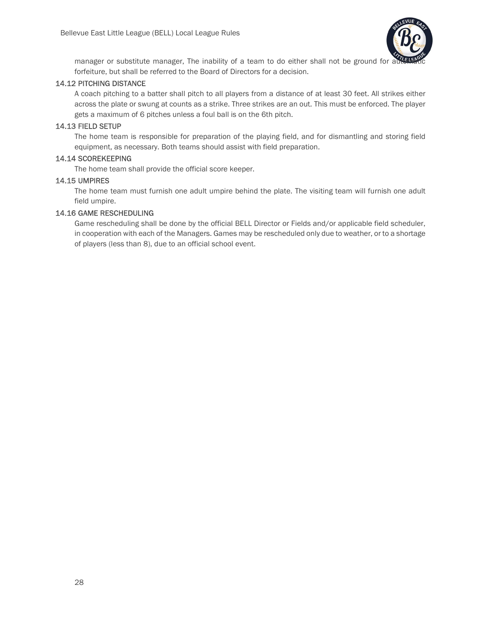

manager or substitute manager, The inability of a team to do either shall not be ground for at forfeiture, but shall be referred to the Board of Directors for a decision.

### 14.12 PITCHING DISTANCE

A coach pitching to a batter shall pitch to all players from a distance of at least 30 feet. All strikes either across the plate or swung at counts as a strike. Three strikes are an out. This must be enforced. The player gets a maximum of 6 pitches unless a foul ball is on the 6th pitch.

#### 14.13 FIELD SETUP

The home team is responsible for preparation of the playing field, and for dismantling and storing field equipment, as necessary. Both teams should assist with field preparation.

## 14.14 SCOREKEEPING

The home team shall provide the official score keeper.

## 14.15 UMPIRES

The home team must furnish one adult umpire behind the plate. The visiting team will furnish one adult field umpire.

## 14.16 GAME RESCHEDULING

Game rescheduling shall be done by the official BELL Director or Fields and/or applicable field scheduler, in cooperation with each of the Managers. Games may be rescheduled only due to weather, or to a shortage of players (less than 8), due to an official school event.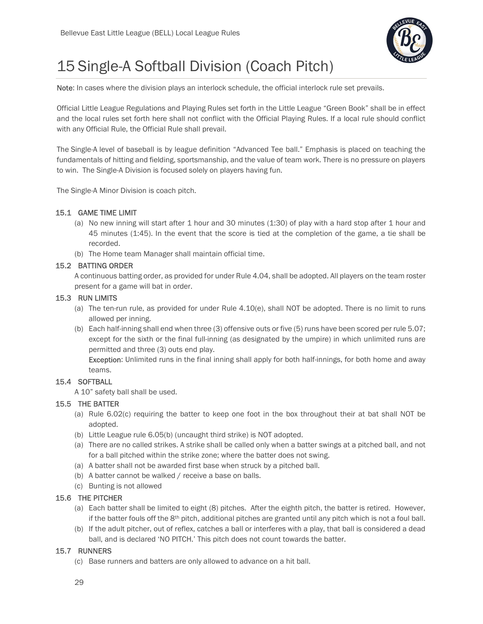

## 15 Single-A Softball Division (Coach Pitch)

Note: In cases where the division plays an interlock schedule, the official interlock rule set prevails.

Official Little League Regulations and Playing Rules set forth in the Little League "Green Book" shall be in effect and the local rules set forth here shall not conflict with the Official Playing Rules. If a local rule should conflict with any Official Rule, the Official Rule shall prevail.

The Single-A level of baseball is by league definition "Advanced Tee ball." Emphasis is placed on teaching the fundamentals of hitting and fielding, sportsmanship, and the value of team work. There is no pressure on players to win. The Single-A Division is focused solely on players having fun.

The Single-A Minor Division is coach pitch.

## 15.1 GAME TIME LIMIT

- (a) No new inning will start after 1 hour and 30 minutes (1:30) of play with a hard stop after 1 hour and 45 minutes (1:45). In the event that the score is tied at the completion of the game, a tie shall be recorded.
- (b) The Home team Manager shall maintain official time.

## 15.2 BATTING ORDER

A continuous batting order, as provided for under Rule 4.04, shall be adopted. All players on the team roster present for a game will bat in order.

## 15.3 RUN LIMITS

- (a) The ten-run rule, as provided for under Rule 4.10(e), shall NOT be adopted. There is no limit to runs allowed per inning.
- (b) Each half-inning shall end when three (3) offensive outs or five (5) runs have been scored per rule 5.07; except for the sixth or the final full-inning (as designated by the umpire) in which unlimited runs are permitted and three (3) outs end play.

Exception: Unlimited runs in the final inning shall apply for both half-innings, for both home and away teams.

## 15.4 SOFTBALL

A 10" safety ball shall be used.

## 15.5 THE BATTER

- (a) Rule 6.02(c) requiring the batter to keep one foot in the box throughout their at bat shall NOT be adopted.
- (b) Little League rule 6.05(b) (uncaught third strike) is NOT adopted.
- (a) There are no called strikes. A strike shall be called only when a batter swings at a pitched ball, and not for a ball pitched within the strike zone; where the batter does not swing.
- (a) A batter shall not be awarded first base when struck by a pitched ball.
- (b) A batter cannot be walked / receive a base on balls.
- (c) Bunting is not allowed

## 15.6 THE PITCHER

- (a) Each batter shall be limited to eight (8) pitches. After the eighth pitch, the batter is retired. However, if the batter fouls off the 8th pitch, additional pitches are granted until any pitch which is not a foul ball.
- (b) If the adult pitcher, out of reflex, catches a ball or interferes with a play, that ball is considered a dead ball, and is declared 'NO PITCH.' This pitch does not count towards the batter.

## 15.7 RUNNERS

(c) Base runners and batters are only allowed to advance on a hit ball.